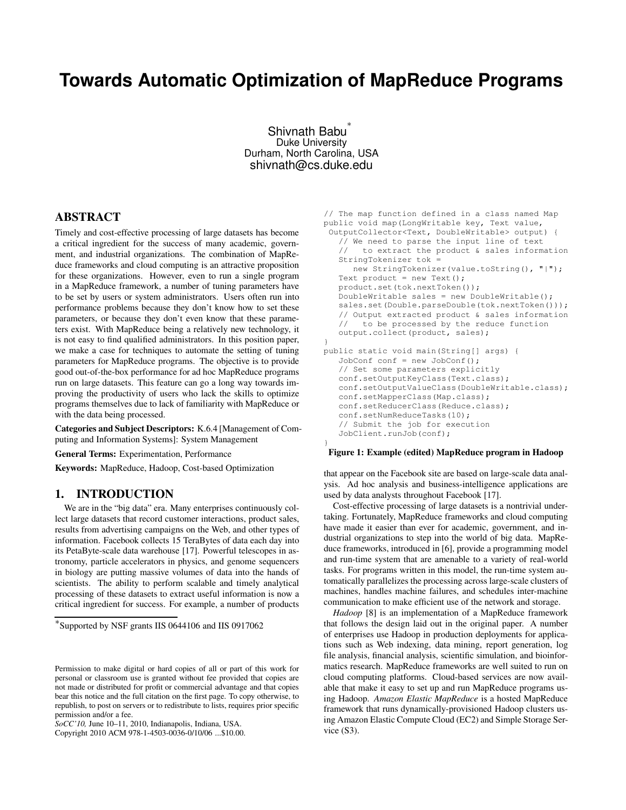# **Towards Automatic Optimization of MapReduce Programs**

Shivnath Babu ∗ Duke University Durham, North Carolina, USA shivnath@cs.duke.edu

### ABSTRACT

Timely and cost-effective processing of large datasets has become a critical ingredient for the success of many academic, government, and industrial organizations. The combination of MapReduce frameworks and cloud computing is an attractive proposition for these organizations. However, even to run a single program in a MapReduce framework, a number of tuning parameters have to be set by users or system administrators. Users often run into performance problems because they don't know how to set these parameters, or because they don't even know that these parameters exist. With MapReduce being a relatively new technology, it is not easy to find qualified administrators. In this position paper, we make a case for techniques to automate the setting of tuning parameters for MapReduce programs. The objective is to provide good out-of-the-box performance for ad hoc MapReduce programs run on large datasets. This feature can go a long way towards improving the productivity of users who lack the skills to optimize programs themselves due to lack of familiarity with MapReduce or with the data being processed.

Categories and Subject Descriptors: K.6.4 [Management of Computing and Information Systems]: System Management

General Terms: Experimentation, Performance

Keywords: MapReduce, Hadoop, Cost-based Optimization

### 1. INTRODUCTION

We are in the "big data" era. Many enterprises continuously collect large datasets that record customer interactions, product sales, results from advertising campaigns on the Web, and other types of information. Facebook collects 15 TeraBytes of data each day into its PetaByte-scale data warehouse [17]. Powerful telescopes in astronomy, particle accelerators in physics, and genome sequencers in biology are putting massive volumes of data into the hands of scientists. The ability to perform scalable and timely analytical processing of these datasets to extract useful information is now a critical ingredient for success. For example, a number of products

Copyright 2010 ACM 978-1-4503-0036-0/10/06 ...\$10.00.

```
// The map function defined in a class named Map
public void map(LongWritable key, Text value,
 OutputCollector<Text, DoubleWritable> output) {
   // We need to parse the input line of text
   // to extract the product & sales information
   StringTokenizer tok =
     new StringTokenizer(value.toString(), "|");
   Text product = new Text();
   product.set(tok.nextToken());
   DoubleWritable sales = new DoubleWritable();
   sales.set(Double.parseDouble(tok.nextToken()));
   // Output extracted product & sales information
   // to be processed by the reduce function
   output.collect(product, sales);
}
public static void main(String[] args) {
   JobConf conf = new JobConf();
   // Set some parameters explicitly
   conf.setOutputKeyClass(Text.class);
   conf.setOutputValueClass(DoubleWritable.class);
   conf.setMapperClass(Map.class);
   conf.setReducerClass(Reduce.class);
   conf.setNumReduceTasks(10);
   // Submit the job for execution
   JobClient.runJob(conf);
}
```
#### Figure 1: Example (edited) MapReduce program in Hadoop

that appear on the Facebook site are based on large-scale data analysis. Ad hoc analysis and business-intelligence applications are used by data analysts throughout Facebook [17].

Cost-effective processing of large datasets is a nontrivial undertaking. Fortunately, MapReduce frameworks and cloud computing have made it easier than ever for academic, government, and industrial organizations to step into the world of big data. MapReduce frameworks, introduced in [6], provide a programming model and run-time system that are amenable to a variety of real-world tasks. For programs written in this model, the run-time system automatically parallelizes the processing across large-scale clusters of machines, handles machine failures, and schedules inter-machine communication to make efficient use of the network and storage.

*Hadoop* [8] is an implementation of a MapReduce framework that follows the design laid out in the original paper. A number of enterprises use Hadoop in production deployments for applications such as Web indexing, data mining, report generation, log file analysis, financial analysis, scientific simulation, and bioinformatics research. MapReduce frameworks are well suited to run on cloud computing platforms. Cloud-based services are now available that make it easy to set up and run MapReduce programs using Hadoop. *Amazon Elastic MapReduce* is a hosted MapReduce framework that runs dynamically-provisioned Hadoop clusters using Amazon Elastic Compute Cloud (EC2) and Simple Storage Service (S3).

<sup>∗</sup> Supported by NSF grants IIS 0644106 and IIS 0917062

Permission to make digital or hard copies of all or part of this work for personal or classroom use is granted without fee provided that copies are not made or distributed for profit or commercial advantage and that copies bear this notice and the full citation on the first page. To copy otherwise, to republish, to post on servers or to redistribute to lists, requires prior specific permission and/or a fee.

*SoCC'10,* June 10–11, 2010, Indianapolis, Indiana, USA.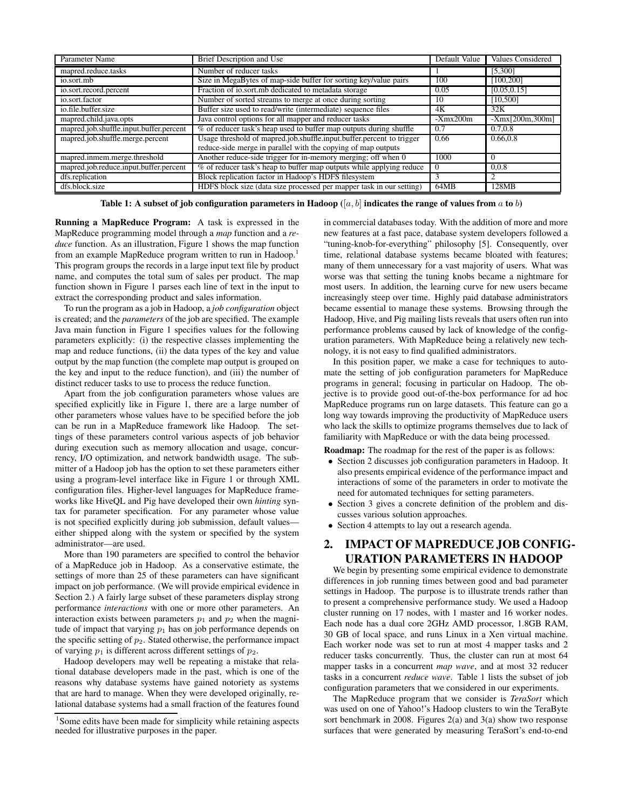| Parameter Name                                                                             | Brief Description and Use                                             | Default Value | Values Considered  |
|--------------------------------------------------------------------------------------------|-----------------------------------------------------------------------|---------------|--------------------|
| mapred.reduce.tasks                                                                        | Number of reducer tasks                                               |               | [5,300]            |
| io.sort.mb                                                                                 | Size in MegaBytes of map-side buffer for sorting key/value pairs      | 100           | [100, 200]         |
| io.sort.record.percent                                                                     | Fraction of io.sort.mb dedicated to metadata storage                  | 0.05          | [0.05, 0.15]       |
| io.sort.factor                                                                             | Number of sorted streams to merge at once during sorting              | 10            | [10, 500]          |
| io.file.buffer.size                                                                        | Buffer size used to read/write (intermediate) sequence files          | 4K            | 32K                |
| mapred.child.java.opts                                                                     | Java control options for all mapper and reducer tasks                 | $-Xmx200m$    | $-Xmx[200m, 300m]$ |
| mapred.job.shuffle.input.buffer.percent                                                    | % of reducer task's heap used to buffer map outputs during shuffle    | 0.7           | 0.7.0.8            |
| mapred.job.shuffle.merge.percent                                                           | Usage threshold of mapred.job.shuffle.input.buffer.percent to trigger |               | 0.66,0.8           |
|                                                                                            | reduce-side merge in parallel with the copying of map outputs         |               |                    |
| mapred.inmem.merge.threshold                                                               | Another reduce-side trigger for in-memory merging; off when 0         | 1000          |                    |
| mapred.job.reduce.input.buffer.percent                                                     | % of reducer task's heap to buffer map outputs while applying reduce  | $\Omega$      | 0.0.8              |
| dfs.replication                                                                            | Block replication factor in Hadoop's HDFS filesystem                  |               |                    |
| HDFS block size (data size processed per mapper task in our setting)<br>$dfs$ , block size |                                                                       | 64MB          | 128MB              |

Table 1: A subset of job configuration parameters in Hadoop ([a, b] indicates the range of values from a to b)

Running a MapReduce Program: A task is expressed in the MapReduce programming model through a *map* function and a *reduce* function. As an illustration, Figure 1 shows the map function from an example MapReduce program written to run in Hadoop.<sup>1</sup> This program groups the records in a large input text file by product name, and computes the total sum of sales per product. The map function shown in Figure 1 parses each line of text in the input to extract the corresponding product and sales information.

To run the program as a job in Hadoop, a *job configuration* object is created; and the *parameters* of the job are specified. The example Java main function in Figure 1 specifies values for the following parameters explicitly: (i) the respective classes implementing the map and reduce functions, (ii) the data types of the key and value output by the map function (the complete map output is grouped on the key and input to the reduce function), and (iii) the number of distinct reducer tasks to use to process the reduce function.

Apart from the job configuration parameters whose values are specified explicitly like in Figure 1, there are a large number of other parameters whose values have to be specified before the job can be run in a MapReduce framework like Hadoop. The settings of these parameters control various aspects of job behavior during execution such as memory allocation and usage, concurrency, I/O optimization, and network bandwidth usage. The submitter of a Hadoop job has the option to set these parameters either using a program-level interface like in Figure 1 or through XML configuration files. Higher-level languages for MapReduce frameworks like HiveQL and Pig have developed their own *hinting* syntax for parameter specification. For any parameter whose value is not specified explicitly during job submission, default values either shipped along with the system or specified by the system administrator—are used.

More than 190 parameters are specified to control the behavior of a MapReduce job in Hadoop. As a conservative estimate, the settings of more than 25 of these parameters can have significant impact on job performance. (We will provide empirical evidence in Section 2.) A fairly large subset of these parameters display strong performance *interactions* with one or more other parameters. An interaction exists between parameters  $p_1$  and  $p_2$  when the magnitude of impact that varying  $p_1$  has on job performance depends on the specific setting of  $p_2$ . Stated otherwise, the performance impact of varying  $p_1$  is different across different settings of  $p_2$ .

Hadoop developers may well be repeating a mistake that relational database developers made in the past, which is one of the reasons why database systems have gained notoriety as systems that are hard to manage. When they were developed originally, relational database systems had a small fraction of the features found in commercial databases today. With the addition of more and more new features at a fast pace, database system developers followed a "tuning-knob-for-everything" philosophy [5]. Consequently, over time, relational database systems became bloated with features; many of them unnecessary for a vast majority of users. What was worse was that setting the tuning knobs became a nightmare for most users. In addition, the learning curve for new users became increasingly steep over time. Highly paid database administrators became essential to manage these systems. Browsing through the Hadoop, Hive, and Pig mailing lists reveals that users often run into performance problems caused by lack of knowledge of the configuration parameters. With MapReduce being a relatively new technology, it is not easy to find qualified administrators.

In this position paper, we make a case for techniques to automate the setting of job configuration parameters for MapReduce programs in general; focusing in particular on Hadoop. The objective is to provide good out-of-the-box performance for ad hoc MapReduce programs run on large datasets. This feature can go a long way towards improving the productivity of MapReduce users who lack the skills to optimize programs themselves due to lack of familiarity with MapReduce or with the data being processed.

Roadmap: The roadmap for the rest of the paper is as follows:

- Section 2 discusses job configuration parameters in Hadoop. It also presents empirical evidence of the performance impact and interactions of some of the parameters in order to motivate the need for automated techniques for setting parameters.
- Section 3 gives a concrete definition of the problem and discusses various solution approaches.
- Section 4 attempts to lay out a research agenda.

# 2. IMPACT OF MAPREDUCE JOB CONFIG-URATION PARAMETERS IN HADOOP

We begin by presenting some empirical evidence to demonstrate differences in job running times between good and bad parameter settings in Hadoop. The purpose is to illustrate trends rather than to present a comprehensive performance study. We used a Hadoop cluster running on 17 nodes, with 1 master and 16 worker nodes. Each node has a dual core 2GHz AMD processor, 1.8GB RAM, 30 GB of local space, and runs Linux in a Xen virtual machine. Each worker node was set to run at most 4 mapper tasks and 2 reducer tasks concurrently. Thus, the cluster can run at most 64 mapper tasks in a concurrent *map wave*, and at most 32 reducer tasks in a concurrent *reduce wave*. Table 1 lists the subset of job configuration parameters that we considered in our experiments.

The MapReduce program that we consider is *TeraSort* which was used on one of Yahoo!'s Hadoop clusters to win the TeraByte sort benchmark in 2008. Figures 2(a) and 3(a) show two response surfaces that were generated by measuring TeraSort's end-to-end

<sup>&</sup>lt;sup>1</sup>Some edits have been made for simplicity while retaining aspects needed for illustrative purposes in the paper.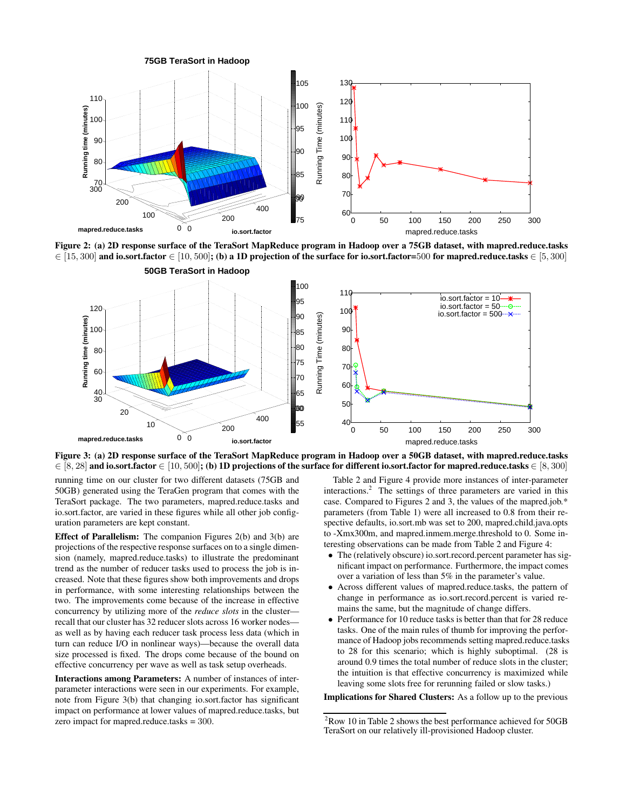

Figure 2: (a) 2D response surface of the TeraSort MapReduce program in Hadoop over a 75GB dataset, with mapred.reduce.tasks  $\in [15, 300]$  and io.sort.factor  $\in [10, 500]$ ; (b) a 1D projection of the surface for io.sort.factor=500 for mapred.reduce.tasks  $\in [5, 300]$ 



Figure 3: (a) 2D response surface of the TeraSort MapReduce program in Hadoop over a 50GB dataset, with mapred.reduce.tasks  $\in [8, 28]$  and io.sort.factor  $\in [10, 500]$ ; (b) 1D projections of the surface for different io.sort.factor for mapred.reduce.tasks  $\in [8, 300]$ 

running time on our cluster for two different datasets (75GB and 50GB) generated using the TeraGen program that comes with the TeraSort package. The two parameters, mapred.reduce.tasks and io.sort.factor, are varied in these figures while all other job configuration parameters are kept constant.

Effect of Parallelism: The companion Figures 2(b) and 3(b) are projections of the respective response surfaces on to a single dimension (namely, mapred.reduce.tasks) to illustrate the predominant trend as the number of reducer tasks used to process the job is increased. Note that these figures show both improvements and drops in performance, with some interesting relationships between the two. The improvements come because of the increase in effective concurrency by utilizing more of the *reduce slots* in the cluster recall that our cluster has 32 reducer slots across 16 worker nodes as well as by having each reducer task process less data (which in turn can reduce I/O in nonlinear ways)—because the overall data size processed is fixed. The drops come because of the bound on effective concurrency per wave as well as task setup overheads.

Interactions among Parameters: A number of instances of interparameter interactions were seen in our experiments. For example, note from Figure 3(b) that changing io.sort.factor has significant impact on performance at lower values of mapred.reduce.tasks, but zero impact for mapred.reduce.tasks = 300.

Table 2 and Figure 4 provide more instances of inter-parameter interactions.<sup>2</sup> The settings of three parameters are varied in this case. Compared to Figures 2 and 3, the values of the mapred.job.\* parameters (from Table 1) were all increased to 0.8 from their respective defaults, io.sort.mb was set to 200, mapred.child.java.opts to -Xmx300m, and mapred.inmem.merge.threshold to 0. Some interesting observations can be made from Table 2 and Figure 4:

- The (relatively obscure) io.sort.record.percent parameter has significant impact on performance. Furthermore, the impact comes over a variation of less than 5% in the parameter's value.
- Across different values of mapred.reduce.tasks, the pattern of change in performance as io.sort.record.percent is varied remains the same, but the magnitude of change differs.
- Performance for 10 reduce tasks is better than that for 28 reduce tasks. One of the main rules of thumb for improving the performance of Hadoop jobs recommends setting mapred.reduce.tasks to 28 for this scenario; which is highly suboptimal. (28 is around 0.9 times the total number of reduce slots in the cluster; the intuition is that effective concurrency is maximized while leaving some slots free for rerunning failed or slow tasks.)

Implications for Shared Clusters: As a follow up to the previous

<sup>2</sup>Row 10 in Table 2 shows the best performance achieved for 50GB TeraSort on our relatively ill-provisioned Hadoop cluster.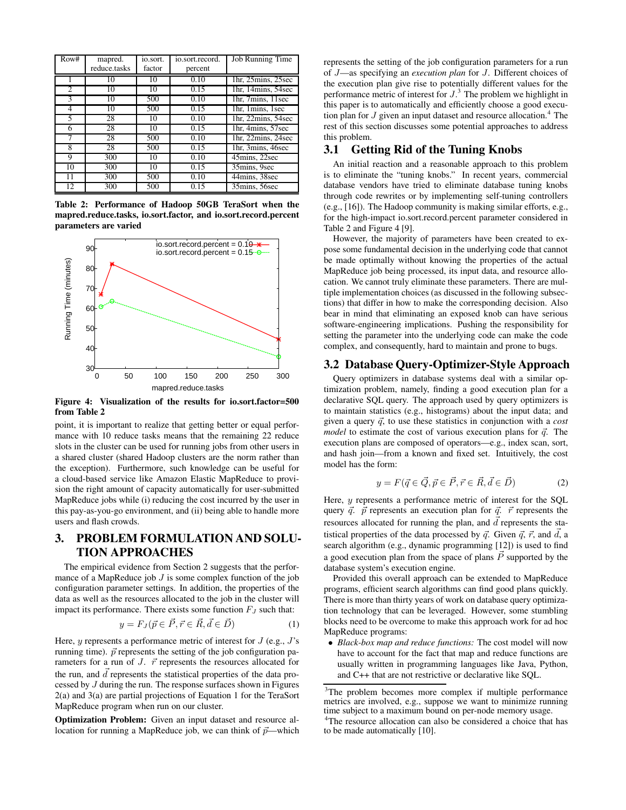| Row#                     | mapred.<br>reduce.tasks | io.sort.<br>factor | io.sort.record.<br>percent | Job Running Time     |
|--------------------------|-------------------------|--------------------|----------------------------|----------------------|
|                          | 10                      | 10                 | 0.10                       | 1hr, 25mins, 25sec   |
| $\mathfrak{D}$           | 10                      | 10                 | 0.15                       | 1hr, 14mins, 54sec   |
| $\overline{\mathcal{L}}$ | 10                      | 500                | 0.10                       | 1hr, 7mins, 11sec    |
| 4                        | 10                      | 500                | 0.15                       | 1hr, 1mins, 1sec     |
| 5                        | 28                      | 10                 | 0.10                       | 1hr, 22mins, 54sec   |
| 6                        | 28                      | 10                 | 0.15                       | 1hr, 4mins, 57sec    |
| 7                        | 28                      | 500                | 0.10                       | 1hr. 22 mins. 24 sec |
| 8                        | 28                      | 500                | 0.15                       | 1hr, 3mins, 46sec    |
| 9                        | 300                     | 10                 | 0.10                       | 45mins, 22sec        |
| 10                       | 300                     | 10                 | 0.15                       | 35mins, 9sec         |
| 11                       | 300                     | 500                | 0.10                       | 44mins, 38sec        |
| 12                       | 300                     | 500                | 0.15                       | $35$ mins, $56$ sec  |

Table 2: Performance of Hadoop 50GB TeraSort when the mapred.reduce.tasks, io.sort.factor, and io.sort.record.percent parameters are varied



Figure 4: Visualization of the results for io.sort.factor=500 from Table 2

point, it is important to realize that getting better or equal performance with 10 reduce tasks means that the remaining 22 reduce slots in the cluster can be used for running jobs from other users in a shared cluster (shared Hadoop clusters are the norm rather than the exception). Furthermore, such knowledge can be useful for a cloud-based service like Amazon Elastic MapReduce to provision the right amount of capacity automatically for user-submitted MapReduce jobs while (i) reducing the cost incurred by the user in this pay-as-you-go environment, and (ii) being able to handle more users and flash crowds.

# 3. PROBLEM FORMULATION AND SOLU-TION APPROACHES

The empirical evidence from Section 2 suggests that the performance of a MapReduce job  $J$  is some complex function of the job configuration parameter settings. In addition, the properties of the data as well as the resources allocated to the job in the cluster will impact its performance. There exists some function  $F_J$  such that:

$$
y = F_J(\vec{p} \in \vec{P}, \vec{r} \in \vec{R}, \vec{d} \in \vec{D}) \tag{1}
$$

Here,  $y$  represents a performance metric of interest for  $J$  (e.g.,  $J$ 's running time).  $\vec{p}$  represents the setting of the job configuration parameters for a run of  $J$ .  $\vec{r}$  represents the resources allocated for the run, and  $\vec{d}$  represents the statistical properties of the data processed by J during the run. The response surfaces shown in Figures 2(a) and 3(a) are partial projections of Equation 1 for the TeraSort MapReduce program when run on our cluster.

Optimization Problem: Given an input dataset and resource allocation for running a MapReduce job, we can think of  $\vec{p}$ —which represents the setting of the job configuration parameters for a run of J—as specifying an *execution plan* for J. Different choices of the execution plan give rise to potentially different values for the performance metric of interest for  $J^3$ . The problem we highlight in this paper is to automatically and efficiently choose a good execution plan for  $J$  given an input dataset and resource allocation.<sup>4</sup> The rest of this section discusses some potential approaches to address this problem.

#### 3.1 Getting Rid of the Tuning Knobs

An initial reaction and a reasonable approach to this problem is to eliminate the "tuning knobs." In recent years, commercial database vendors have tried to eliminate database tuning knobs through code rewrites or by implementing self-tuning controllers (e.g., [16]). The Hadoop community is making similar efforts, e.g., for the high-impact io.sort.record.percent parameter considered in Table 2 and Figure 4 [9].

However, the majority of parameters have been created to expose some fundamental decision in the underlying code that cannot be made optimally without knowing the properties of the actual MapReduce job being processed, its input data, and resource allocation. We cannot truly eliminate these parameters. There are multiple implementation choices (as discussed in the following subsections) that differ in how to make the corresponding decision. Also bear in mind that eliminating an exposed knob can have serious software-engineering implications. Pushing the responsibility for setting the parameter into the underlying code can make the code complex, and consequently, hard to maintain and prone to bugs.

#### 3.2 Database Query-Optimizer-Style Approach

Query optimizers in database systems deal with a similar optimization problem, namely, finding a good execution plan for a declarative SQL query. The approach used by query optimizers is to maintain statistics (e.g., histograms) about the input data; and given a query  $\vec{q}$ , to use these statistics in conjunction with a *cost model* to estimate the cost of various execution plans for  $\vec{q}$ . The execution plans are composed of operators—e.g., index scan, sort, and hash join—from a known and fixed set. Intuitively, the cost model has the form:

$$
y = F(\vec{q} \in \vec{Q}, \vec{p} \in \vec{P}, \vec{r} \in \vec{R}, \vec{d} \in \vec{D})
$$
(2)

Here, y represents a performance metric of interest for the SQL query  $\vec{q}$ .  $\vec{p}$  represents an execution plan for  $\vec{q}$ .  $\vec{r}$  represents the resources allocated for running the plan, and  $\vec{d}$  represents the statistical properties of the data processed by  $\vec{q}$ . Given  $\vec{q}$ ,  $\vec{r}$ , and  $\vec{d}$ , a search algorithm (e.g., dynamic programming [12]) is used to find a good execution plan from the space of plans  $\vec{P}$  supported by the database system's execution engine.

Provided this overall approach can be extended to MapReduce programs, efficient search algorithms can find good plans quickly. There is more than thirty years of work on database query optimization technology that can be leveraged. However, some stumbling blocks need to be overcome to make this approach work for ad hoc MapReduce programs:

• *Black-box map and reduce functions:* The cost model will now have to account for the fact that map and reduce functions are usually written in programming languages like Java, Python, and C++ that are not restrictive or declarative like SQL.

<sup>&</sup>lt;sup>3</sup>The problem becomes more complex if multiple performance metrics are involved, e.g., suppose we want to minimize running time subject to a maximum bound on per-node memory usage.

<sup>&</sup>lt;sup>4</sup>The resource allocation can also be considered a choice that has to be made automatically [10].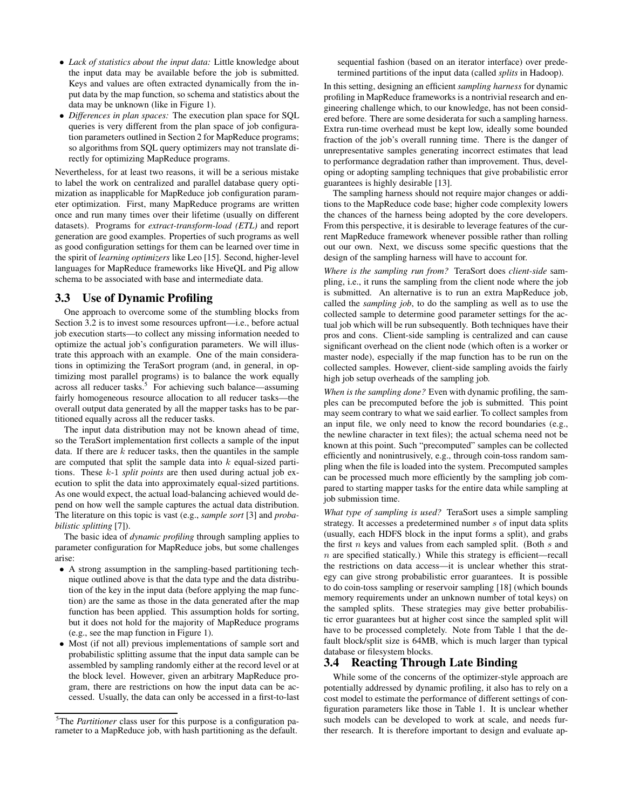- *Lack of statistics about the input data:* Little knowledge about the input data may be available before the job is submitted. Keys and values are often extracted dynamically from the input data by the map function, so schema and statistics about the data may be unknown (like in Figure 1).
- *Differences in plan spaces:* The execution plan space for SQL queries is very different from the plan space of job configuration parameters outlined in Section 2 for MapReduce programs; so algorithms from SQL query optimizers may not translate directly for optimizing MapReduce programs.

Nevertheless, for at least two reasons, it will be a serious mistake to label the work on centralized and parallel database query optimization as inapplicable for MapReduce job configuration parameter optimization. First, many MapReduce programs are written once and run many times over their lifetime (usually on different datasets). Programs for *extract-transform-load (ETL)* and report generation are good examples. Properties of such programs as well as good configuration settings for them can be learned over time in the spirit of *learning optimizers* like Leo [15]. Second, higher-level languages for MapReduce frameworks like HiveQL and Pig allow schema to be associated with base and intermediate data.

#### 3.3 Use of Dynamic Profiling

One approach to overcome some of the stumbling blocks from Section 3.2 is to invest some resources upfront—i.e., before actual job execution starts—to collect any missing information needed to optimize the actual job's configuration parameters. We will illustrate this approach with an example. One of the main considerations in optimizing the TeraSort program (and, in general, in optimizing most parallel programs) is to balance the work equally across all reducer tasks.<sup>5</sup> For achieving such balance—assuming fairly homogeneous resource allocation to all reducer tasks—the overall output data generated by all the mapper tasks has to be partitioned equally across all the reducer tasks.

The input data distribution may not be known ahead of time, so the TeraSort implementation first collects a sample of the input data. If there are  $k$  reducer tasks, then the quantiles in the sample are computed that split the sample data into  $k$  equal-sized partitions. These k-1 *split points* are then used during actual job execution to split the data into approximately equal-sized partitions. As one would expect, the actual load-balancing achieved would depend on how well the sample captures the actual data distribution. The literature on this topic is vast (e.g., *sample sort* [3] and *probabilistic splitting* [7]).

The basic idea of *dynamic profiling* through sampling applies to parameter configuration for MapReduce jobs, but some challenges arise:

- A strong assumption in the sampling-based partitioning technique outlined above is that the data type and the data distribution of the key in the input data (before applying the map function) are the same as those in the data generated after the map function has been applied. This assumption holds for sorting, but it does not hold for the majority of MapReduce programs (e.g., see the map function in Figure 1).
- Most (if not all) previous implementations of sample sort and probabilistic splitting assume that the input data sample can be assembled by sampling randomly either at the record level or at the block level. However, given an arbitrary MapReduce program, there are restrictions on how the input data can be accessed. Usually, the data can only be accessed in a first-to-last

sequential fashion (based on an iterator interface) over predetermined partitions of the input data (called *splits* in Hadoop).

In this setting, designing an efficient *sampling harness* for dynamic profiling in MapReduce frameworks is a nontrivial research and engineering challenge which, to our knowledge, has not been considered before. There are some desiderata for such a sampling harness. Extra run-time overhead must be kept low, ideally some bounded fraction of the job's overall running time. There is the danger of unrepresentative samples generating incorrect estimates that lead to performance degradation rather than improvement. Thus, developing or adopting sampling techniques that give probabilistic error guarantees is highly desirable [13].

The sampling harness should not require major changes or additions to the MapReduce code base; higher code complexity lowers the chances of the harness being adopted by the core developers. From this perspective, it is desirable to leverage features of the current MapReduce framework whenever possible rather than rolling out our own. Next, we discuss some specific questions that the design of the sampling harness will have to account for.

*Where is the sampling run from?* TeraSort does *client-side* sampling, i.e., it runs the sampling from the client node where the job is submitted. An alternative is to run an extra MapReduce job, called the *sampling job*, to do the sampling as well as to use the collected sample to determine good parameter settings for the actual job which will be run subsequently. Both techniques have their pros and cons. Client-side sampling is centralized and can cause significant overhead on the client node (which often is a worker or master node), especially if the map function has to be run on the collected samples. However, client-side sampling avoids the fairly high job setup overheads of the sampling job.

*When is the sampling done?* Even with dynamic profiling, the samples can be precomputed before the job is submitted. This point may seem contrary to what we said earlier. To collect samples from an input file, we only need to know the record boundaries (e.g., the newline character in text files); the actual schema need not be known at this point. Such "precomputed" samples can be collected efficiently and nonintrusively, e.g., through coin-toss random sampling when the file is loaded into the system. Precomputed samples can be processed much more efficiently by the sampling job compared to starting mapper tasks for the entire data while sampling at job submission time.

*What type of sampling is used?* TeraSort uses a simple sampling strategy. It accesses a predetermined number s of input data splits (usually, each HDFS block in the input forms a split), and grabs the first  $n$  keys and values from each sampled split. (Both  $s$  and  $n$  are specified statically.) While this strategy is efficient—recall the restrictions on data access—it is unclear whether this strategy can give strong probabilistic error guarantees. It is possible to do coin-toss sampling or reservoir sampling [18] (which bounds memory requirements under an unknown number of total keys) on the sampled splits. These strategies may give better probabilistic error guarantees but at higher cost since the sampled split will have to be processed completely. Note from Table 1 that the default block/split size is 64MB, which is much larger than typical database or filesystem blocks.

## 3.4 Reacting Through Late Binding

While some of the concerns of the optimizer-style approach are potentially addressed by dynamic profiling, it also has to rely on a cost model to estimate the performance of different settings of configuration parameters like those in Table 1. It is unclear whether such models can be developed to work at scale, and needs further research. It is therefore important to design and evaluate ap-

<sup>&</sup>lt;sup>5</sup>The *Partitioner* class user for this purpose is a configuration parameter to a MapReduce job, with hash partitioning as the default.